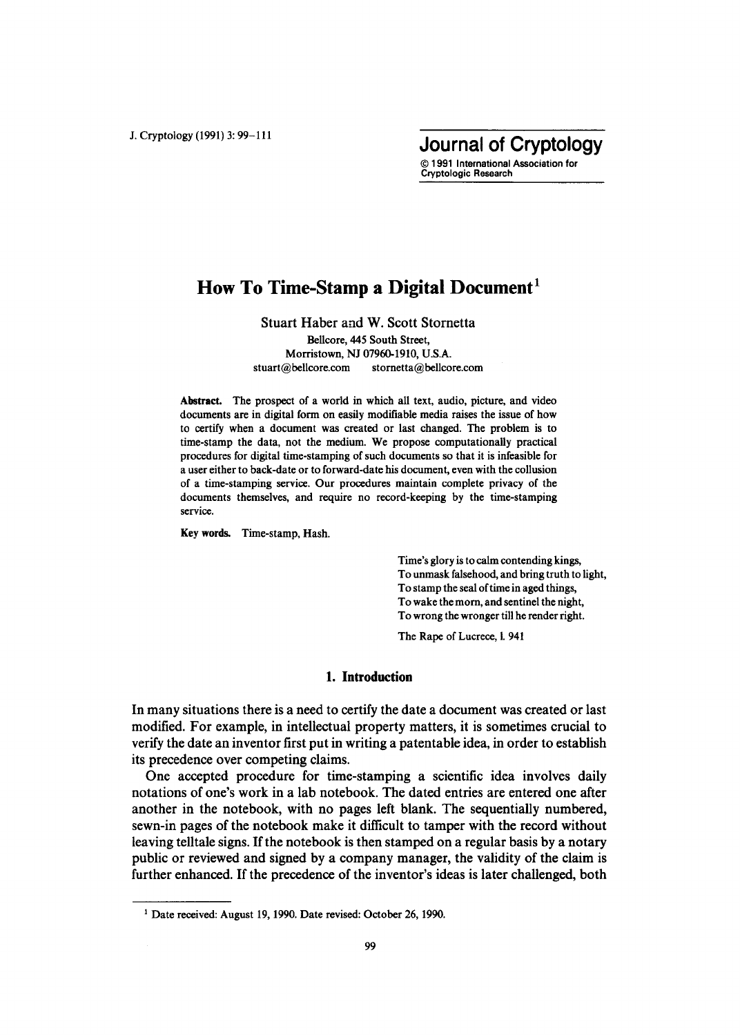# J. Cryptology (1991) 3:99-111 **Journal of Cryptology**

**9 1991 International Association for**  Cryptologic Research

# How To Time-Stamp a Digital Document<sup>1</sup>

Stuart Haber and W. Scott Stornetta Bellcore, 445 South Street, Morristown, NJ 07960-1910, U.S.A. stuart@bellcore.com stornetta@bellcore.com

**Abstract.** The prospect of a world in which all text, audio, picture, and video documents are in digital form on easily modifiable media raises the issue of how to certify when a document was created or last changed. The problem is to time-stamp the data, not the medium. We propose computationally practical procedures for digital time-stamping of such documents so that it is infeasible for a user either to back-date or to forward-date his document, even with the collusion of a time-stamping service. Our procedures maintain complete privacy of the documents themselves, and require no record-keeping by the time-stamping service.

Key words. Time-stamp, Hash.

Time's glory is to calm contending kings, To unmask falsehood, and bring truth to light, To stamp the seal of time in aged things, To wake the morn, and sentinel the night, To wrong the wronger till he render right.

The Rape of Lucrece, !. 941

# **1. Introduction**

In many situations there is a need to certify the date a document was created or last modified. For example, in intellectual property matters, it is sometimes crucial to verify the date an inventor first put in writing a patentable idea, in order to establish its precedence over competing claims.

One accepted procedure for time-stamping a scientific idea involves daily notations of one's work in a lab notebook. The dated entries are entered one after another in the notebook, with no pages left blank. The sequentially numbered, sewn-in pages of the notebook make it difficult to tamper with the record without leaving telltale signs. If the notebook is then stamped on a regular basis by a notary public or reviewed and signed by a company manager, the validity of the claim is further enhanced. If the precedence of the inventor's ideas is later challenged, both

<sup>1</sup> Date received: August 19, 1990. Date revised: October 26, 1990.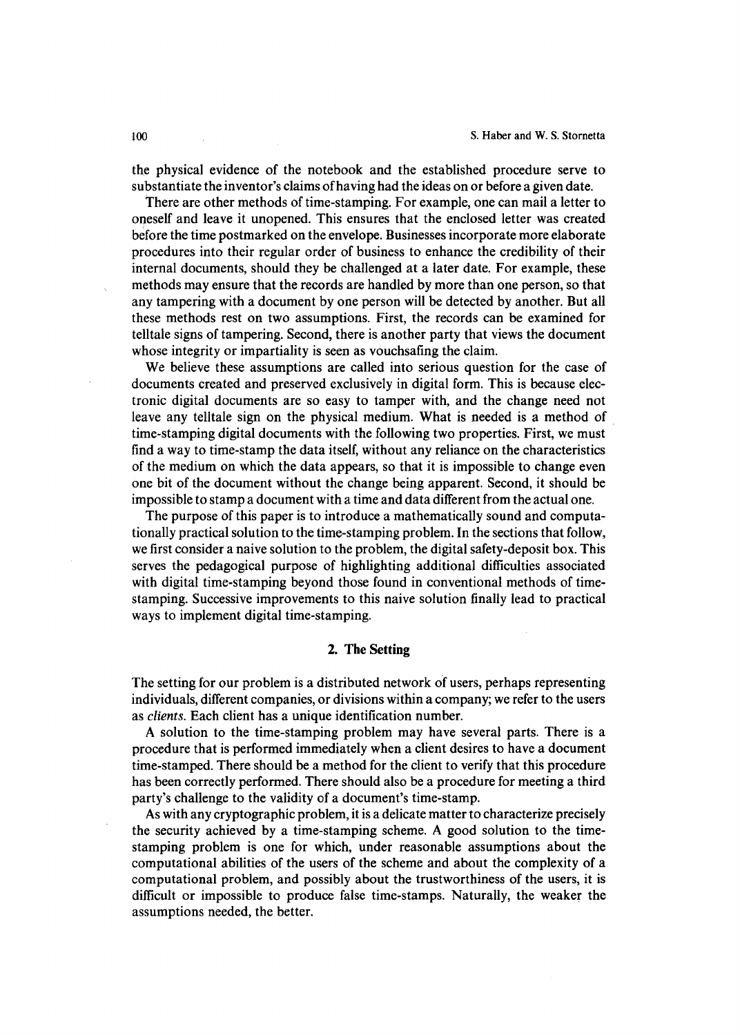the physical evidence of the notebook and the established procedure serve to substantiate the inventor's claims of having had the ideas on or before a given date.

There are other methods of time-stamping. For example, one can mail a letter to oneself and leave it unopened. This ensures that the enclosed letter was created before the time postmarked on the envelope. Businesses incorporate more elaborate procedures into their regular order of business to enhance the credibility of their internal documents, should they be challenged at a later date. For example, these methods may ensure that the records are handled by more than one person, so that any tampering with a document by one person will be detected by another. But all these methods rest on two assumptions. First, the records can be examined for telltale signs of tampering. Second, there is another party that views the document whose integrity or impartiality is seen as vouchsafing the claim.

We believe these assumptions are called into serious question for the case of documents created and preserved exclusively in digital form. This is because electronic digital documents are so easy to tamper with, and the change need not leave any telltale sign on the physical medium. What is needed is a method of time-stamping digital documents with the following two properties. First, we must find a way to time-stamp the data itself, without any reliance on the characteristics of the medium on which the data appears, so that it is impossible to change even one bit of the document without the change being apparent. Second, it should be impossible to stamp a document with a time and data different from the actual one.

The purpose of this paper is to introduce a mathematically sound and computationally practical solution to the time-stamping problem. In the sections that follow, we first consider a naive solution to the problem, the digital safety-deposit box. This serves the pedagogical purpose of highlighting additional difficulties associated with digital time-stamping beyond those found in conventional methods of timestamping. Successive improvements to this naive solution finally lead to practical ways to implement digital time-stamping.

# **2. The Setting**

The setting for our problem is a distributed network of users, perhaps representing individuals, different companies, or divisions within a company; we refer to the users as *clients.* Each client has a unique identification number.

A solution to the time-stamping problem may have several parts. There is a procedure that is performed immediately when a client desires to have a document time-stamped. There should be a method for the client to verify that this procedure has been correctly performed. There should also be a procedure for meeting a third party's challenge to the validity of a document's time-stamp.

As with any cryptographic problem, it is a delicate matter to characterize precisely the security achieved by a time-stamping scheme. A good solution to the timestamping problem is one for which, under reasonable assumptions about the computational abilities of the users of the scheme and about the complexity of a computational problem, and possibly about the trustworthiness of the users, it is difficult or impossible to produce false time-stamps. Naturally, the weaker the assumptions needed, the better.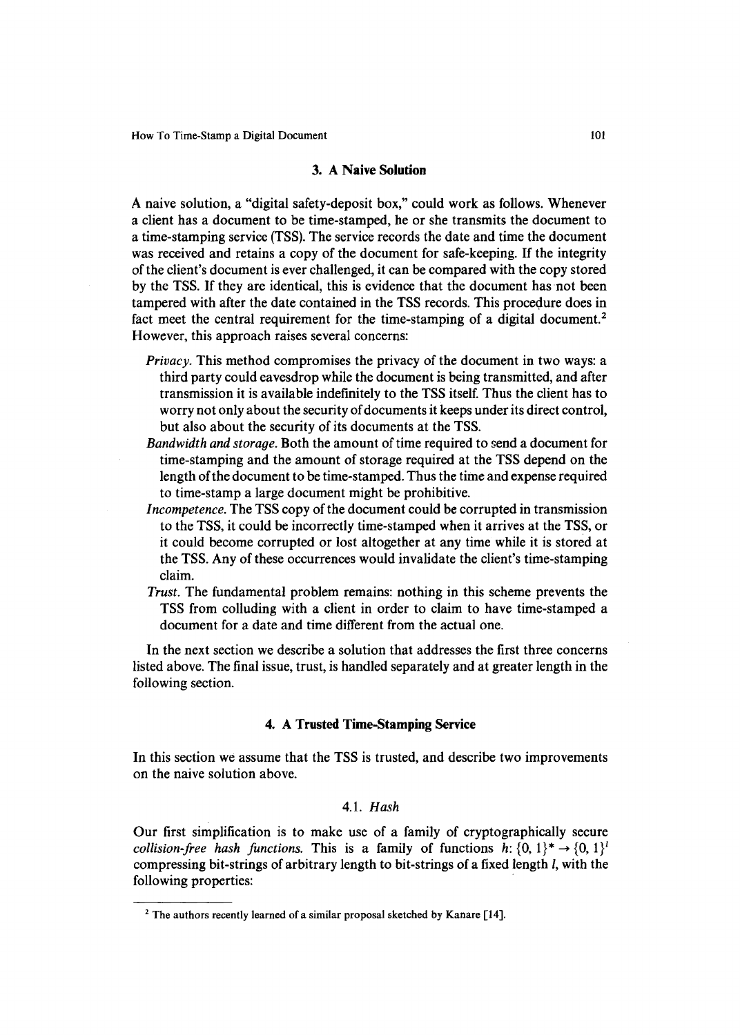# **3. A Naive Solution**

A naive solution, a "digital safety-deposit box," could work as follows. Whenever a client has a document to be time-stamped, he or she transmits the document to a time-stamping service (TSS). The service records the date and time the document was received and retains a copy of the document for safe-keeping. If the integrity of the client's document is ever challenged, it can be compared with the copy stored by the TSS. If they are identical, this is evidence that the document has not been tampered with after the date contained in the TSS records. This procedure does in fact meet the central requirement for the time-stamping of a digital document.<sup>2</sup> However, this approach raises several concerns:

- *Privacy.* This method compromises the privacy of the document in two ways: a third party could eavesdrop while the document is being transmitted, and after transmission it is available indefinitely to the TSS itself. Thus the client has to worry not only about the security of documents it keeps under its direct control, but also about the security of its documents at the TSS.
- *Bandwidth and storage.* Both the amount of time required to send a document for time-stamping and the amount of storage required at the TSS depend on the length of the document to be time-stamped. Thus the time and expense required to time-stamp a large document might be prohibitive.
- *Incompetence.* The TSS copy of the document could be corrupted in transmission to the TSS, it could be incorrectly time-stamped when it arrives at the TSS, or it could become corrupted or lost altogether at any time while it is stored at the TSS. Any of these occurrences would invalidate the client's time-stamping claim.
- *Trust.* The fundamental problem remains: nothing in this scheme prevents the TSS from colluding with a client in order to claim to have time-stamped a document for a date and time different from the actual one.

In the next section we describe a solution that addresses the first three concerns listed above. The final issue, trust, is handled separately and at greater length in the following section.

# **4. A Trusted Time-Stamping Service**

In this section we assume that the TSS is trusted, and describe two improvements on the naive solution above.

# 4.1. *Hash*

Our first simplification is to make use of a family of cryptographically secure *collision-free hash functions.* This is a family of functions  $h: \{0, 1\}^* \rightarrow \{0, 1\}^t$ compressing bit-strings of arbitrary length to bit-strings of a fixed length l, with the following properties:

 $2$  The authors recently learned of a similar proposal sketched by Kanare [14].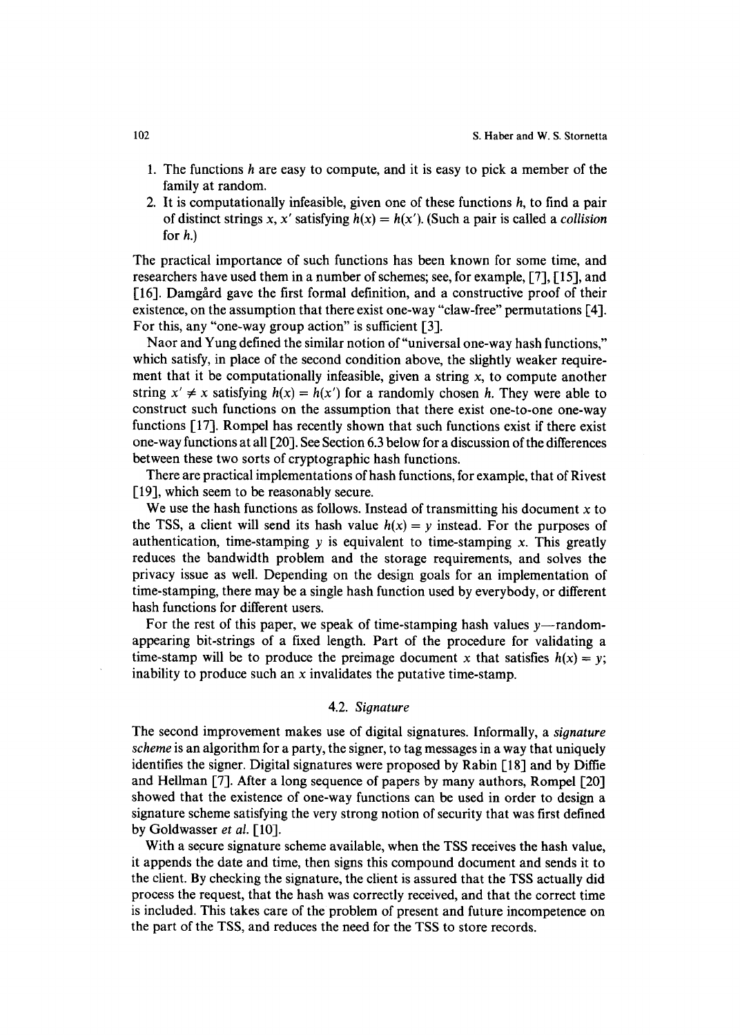- 1. The functions h are easy to compute, and it is easy to pick a member of the family at random.
- 2. It is computationally infeasible, given one of these functions  $h$ , to find a pair of distinct strings x, x' satisfying  $h(x) = h(x')$ . (Such a pair is called a *collision* for h.)

The practical importance of such functions has been known for some time, and researchers have used them in a number of schemes; see, for example, [7], [15], and [16]. Damgård gave the first formal definition, and a constructive proof of their existence, on the assumption that there exist one-way "claw-free" permutations [4]. For this, any "one-way group action" is sufficient [3].

Naor and Yung defined the similar notion of "universal one-way hash functions," which satisfy, in place of the second condition above, the slightly weaker requirement that it be computationally infeasible, given a string  $x$ , to compute another string  $x' \neq x$  satisfying  $h(x) = h(x')$  for a randomly chosen h. They were able to construct such functions on the assumption that there exist one-to-one one-way functions [17]. Rompel has recently shown that such functions exist if there exist one-way functions at all [20]. See Section 6.3 below for a discussion of the differences between these two sorts of cryptographic hash functions.

There are practical implementations of hash functions, for example, that of Rivest [19], which seem to be reasonably secure.

We use the hash functions as follows. Instead of transmitting his document  $x$  to the TSS, a client will send its hash value  $h(x) = y$  instead. For the purposes of authentication, time-stamping  $y$  is equivalent to time-stamping  $x$ . This greatly reduces the bandwidth problem and the storage requirements, and solves the privacy issue as well. Depending on the design goals for an implementation of time-stamping, there may be a single hash function used by everybody, or different hash functions for different users.

For the rest of this paper, we speak of time-stamping hash values  $y$ —randomappearing bit-strings of a fixed length. Part of the procedure for validating a time-stamp will be to produce the preimage document x that satisfies  $h(x) = y$ ; inability to produce such an  $x$  invalidates the putative time-stamp.

# 4.2. *Signature*

The second improvement makes use of digital signatures. Informally, a *signature scheme* is an algorithm for a party, the signer, to tag messages in a way that uniquely identifies the signer. Digital signatures were proposed by Rabin [18] and by Diffie and Hellman [7]. After a long sequence of papers by many authors, Rompel [20] showed that the existence of one-way functions can be used in order to design a signature scheme satisfying the very strong notion of security that was first defined by Goldwasser *et al.* [10].

With a secure signature scheme available, when the TSS receives the hash value, it appends the date and time, then signs this compound document and sends it to the client. By checking the signature, the client is assured that the TSS actually did process the request, that the hash was correctly received, and that the correct time is included. This takes care of the problem of present and future incompetence on the part of the TSS, and reduces the need for the TSS to store records.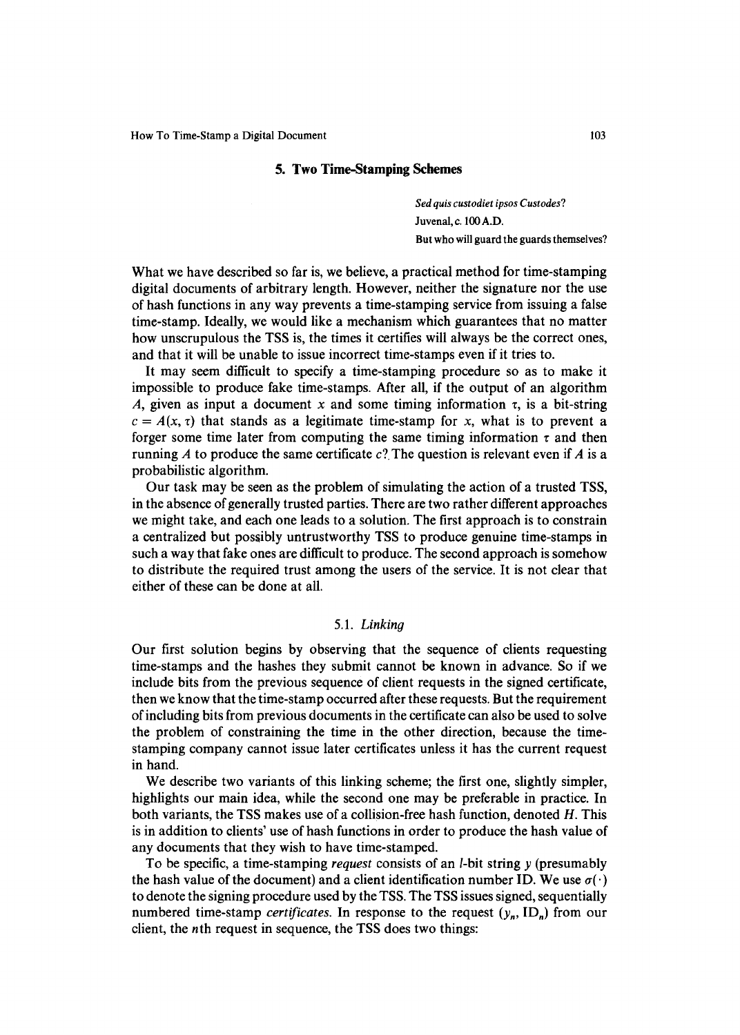#### **5. Two Time-Stamping Schemes**

*Sed quis custodiet ipsos Custodes ?*  Juvenal, c. I00 A.D. But who will guard the guards themselves?

What we have described so far is, we believe, a practical method for time-stamping digital documents of arbitrary length. However, neither the signature nor the use of hash functions in any way prevents a time-stamping service from issuing a false time-stamp. Ideally, we would like a mechanism which guarantees that no matter how unscrupulous the TSS is, the times it certifies will always be the correct ones, and that it will be unable to issue incorrect time-stamps even if it tries to.

It may seem difficult to specify a time-stamping procedure so as to make it impossible to produce fake time-stamps. After all, if the output of an algorithm A, given as input a document x and some timing information  $\tau$ , is a bit-string  $c = A(x, \tau)$  that stands as a legitimate time-stamp for x, what is to prevent a forger some time later from computing the same timing information  $\tau$  and then running A to produce the same certificate  $c$ ? The question is relevant even if A is a probabilistic algorithm.

Our task may be seen as the problem of simulating the action of a trusted TSS, in the absence of generally trusted parties. There are two rather different approaches we might take, and each one leads to a solution. The first approach is to constrain a centralized but possibly untrustworthy TSS to produce genuine time-stamps in such a way that fake ones are difficult to produce. The second approach is somehow to distribute the required trust among the users of the service. It is not clear that either of these can be done at all.

#### 5.1. *Linking*

Our first solution begins by observing that the sequence of clients requesting time-stamps and the hashes they submit cannot be known in advance. So if we include bits from the previous sequence of client requests in the signed certificate, then we know that the time-stamp occurred after these requests. But the requirement of including bits from previous documents in the certificate can also be used to solve the problem of constraining the time in the other direction, because the timestamping company cannot issue later certificates unless it has the current request in hand.

We describe two variants of this linking scheme; the first one, slightly simpler, highlights our main idea, while the second one may be preferable in practice. In both variants, the TSS makes use of a collision-free hash function, denoted H. This is in addition to clients' use of hash functions in order to produce the hash value of any documents that they wish to have time-stamped.

To be specific, a time-stamping *request* consists of an *l*-bit string y (presumably the hash value of the document) and a client identification number ID. We use  $\sigma(\cdot)$ to denote the signing procedure used by the TSS. The TSS issues signed, sequentially numbered time-stamp *certificates*. In response to the request  $(y_n, \text{ID}_n)$  from our client, the nth request in sequence, the TSS does two things: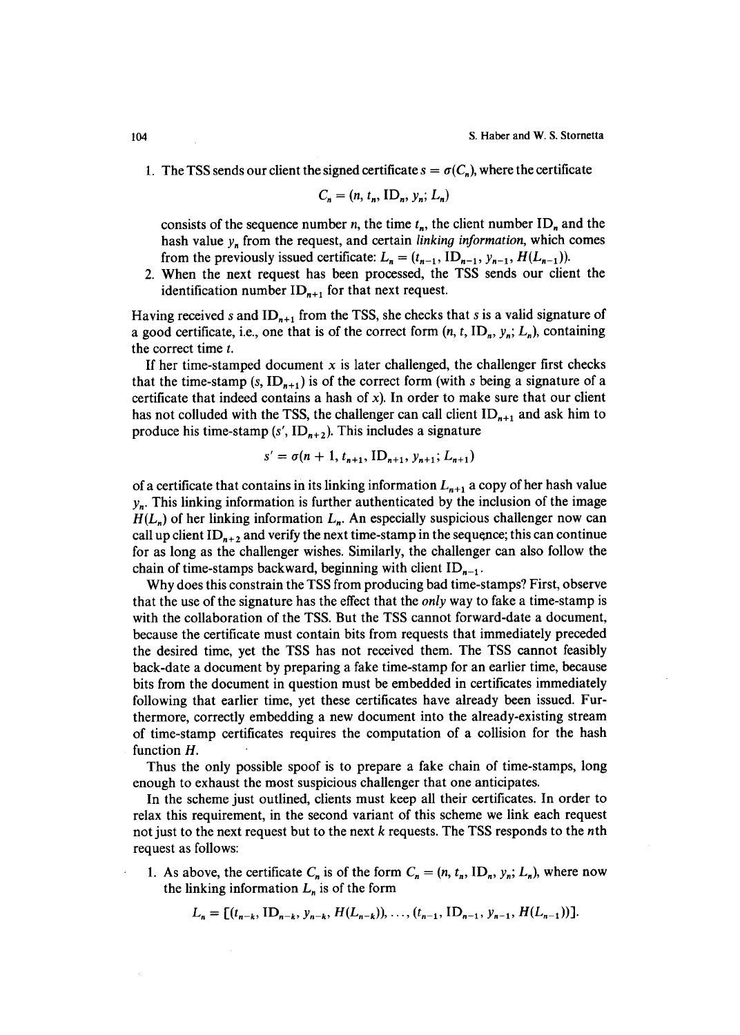1. The TSS sends our client the signed certificate  $s = \sigma(C_n)$ , where the certificate

$$
C_n = (n, t_n, \mathrm{ID}_n, y_n; L_n)
$$

consists of the sequence number n, the time  $t_n$ , the client number  $ID_n$  and the hash value  $y_n$  from the request, and certain *linking information*, which comes from the previously issued certificate:  $L_n = (t_{n-1}, \text{ID}_{n-1}, y_{n-1}, H(L_{n-1}))$ .

2. When the next request has been processed, the TSS sends our client the identification number  $ID_{n+1}$  for that next request.

Having received s and  $ID_{n+1}$  from the TSS, she checks that s is a valid signature of a good certificate, i.e., one that is of the correct form  $(n, t, ID_n, y_n; L_n)$ , containing the correct time t.

If her time-stamped document  $x$  is later challenged, the challenger first checks that the time-stamp  $(s, ID_{n+1})$  is of the correct form (with s being a signature of a certificate that indeed contains a hash of  $x$ ). In order to make sure that our client has not colluded with the TSS, the challenger can call client  $ID_{n+1}$  and ask him to produce his time-stamp (s',  $ID_{n+2}$ ). This includes a signature

$$
s' = \sigma(n + 1, t_{n+1}, \text{ID}_{n+1}, y_{n+1}; L_{n+1})
$$

of a certificate that contains in its linking information  $L_{n+1}$  a copy of her hash value  $y_n$ . This linking information is further authenticated by the inclusion of the image  $H(L_n)$  of her linking information  $L_n$ . An especially suspicious challenger now can call up client  $ID_{n+2}$  and verify the next time-stamp in the sequence; this can continue for as long as the challenger wishes. Similarly, the challenger can also follow the chain of time-stamps backward, beginning with client  $ID_{n-1}$ .

Why does this constrain the TSS from producing bad time-stamps? First, observe that the use of the signature has the effect that the *only* way to fake a time-stamp is with the collaboration of the TSS. But the TSS cannot forward-date a document, because the certificate must contain bits from requests that immediately preceded the desired time, yet the TSS has not received them. The TSS cannot feasibly back-date a document by preparing a fake time-stamp for an earlier time, because bits from the document in question must be embedded in certificates immediately following that earlier time, yet these certificates have already been issued. Furthermore, correctly embedding a new document into the already-existing stream of time-stamp certificates requires the computation of a collision for the hash function H.

Thus the only possible spoof is to prepare a fake chain of time-stamps, long enough to exhaust the most suspicious challenger that one anticipates.

In the scheme just outlined, clients must keep all their certificates. In order to relax this requirement, in the second variant of this scheme we link each request not just to the next request but to the next k requests. The TSS responds to the nth request as follows:

1. As above, the certificate  $C_n$  is of the form  $C_n = (n, t_n, ID_n, y_n; L_n)$ , where now the linking information  $L_n$  is of the form

$$
L_n = [(t_{n-k}, \text{ID}_{n-k}, y_{n-k}, H(L_{n-k})) , \ldots, (t_{n-1}, \text{ID}_{n-1}, y_{n-1}, H(L_{n-1})) ].
$$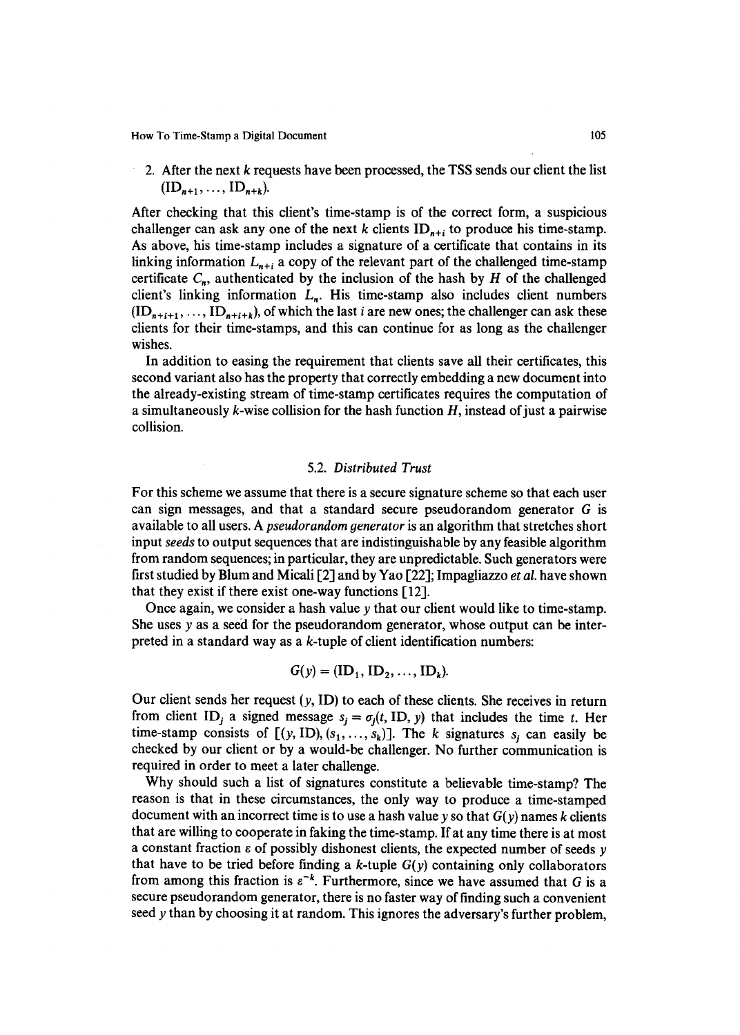2. After the next k requests have been processed, the TSS sends our client the list  $(ID_{n+1}, ..., ID_{n+k}).$ 

After checking that this client's time-stamp is of the correct form, a suspicious challenger can ask any one of the next k clients  $ID_{n+i}$  to produce his time-stamp. As above, his time-stamp includes a signature of a certificate that contains in its linking information  $L_{n+i}$  a copy of the relevant part of the challenged time-stamp certificate  $C_n$ , authenticated by the inclusion of the hash by H of the challenged client's linking information  $L_n$ . His time-stamp also includes client numbers  $(ID_{n+i+1},..., ID_{n+i+k})$ , of which the last *i* are new ones; the challenger can ask these clients for their time-stamps, and this can continue for as long as the challenger wishes.

In addition to easing the requirement that clients save all their certificates, this second variant also has the property that correctly embedding a new document into the already-existing stream of time-stamp certificates requires the computation of a simultaneously  $k$ -wise collision for the hash function  $H$ , instead of just a pairwise collision.

#### 5.2. *Distributed Trust*

For this scheme we assume that there is a secure signature scheme so that each user can sign messages, and that a standard secure pseudorandom generator G is available to all users. A *pseudorandom generator* is an algorithm that stretches short input *seeds* to output sequences that are indistinguishable by any feasible algorithm from random sequences; in particular, they are unpredictable. Such generators were first studied by Blum and Micali [2] and by Yao [22]; Impagliazzo *et al.* have shown that they exist if there exist one-way functions [12].

Once again, we consider a hash value  $y$  that our client would like to time-stamp. She uses y as a seed for the pseudorandom generator, whose output can be interpreted in a standard way as a k-tuple of client identification numbers:

$$
G(y) = (ID_1, ID_2, \ldots, ID_k).
$$

Our client sends her request  $(y, ID)$  to each of these clients. She receives in return from client ID<sub>j</sub> a signed message  $s_i = \sigma_i(t, \text{ID}, y)$  that includes the time t. Her time-stamp consists of  $[(y, ID), (s_1, ..., s_k)]$ . The k signatures s<sub>i</sub> can easily be checked by our client or by a would-be challenger. No further communication is required in order to meet a later challenge.

Why should such a list of signatures constitute a believable time-stamp? The reason is that in these circumstances, the only way to produce a time-stamped document with an incorrect time is to use a hash value y so that  $G(y)$  names k clients that are willing to cooperate in faking the time-stamp. If at any time there is at most a constant fraction  $\varepsilon$  of possibly dishonest clients, the expected number of seeds y that have to be tried before finding a  $k$ -tuple  $G(y)$  containing only collaborators from among this fraction is  $\varepsilon^{-k}$ . Furthermore, since we have assumed that G is a secure pseudorandom generator, there is no faster way of finding such a convenient seed y than by choosing it at random. This ignores the adversary's further problem,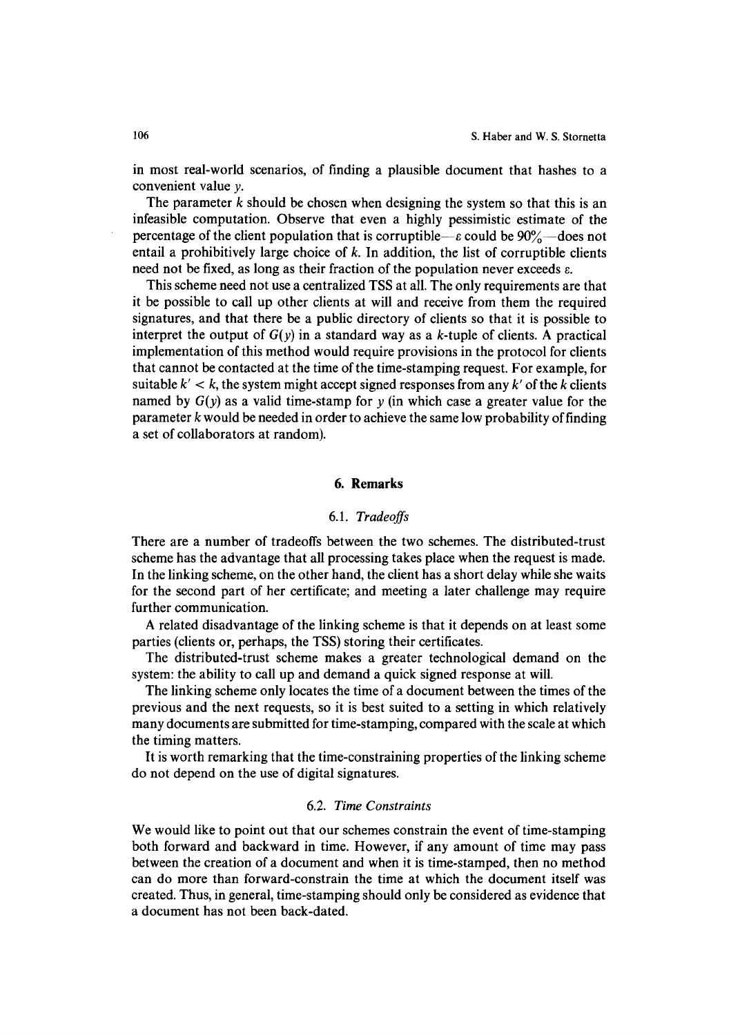in most real-world scenarios, of finding a plausible document that hashes to a convenient value y.

The parameter  $k$  should be chosen when designing the system so that this is an infeasible computation. Observe that even a highly pessimistic estimate of the percentage of the client population that is corruptible— $\varepsilon$  could be 90%—does not entail a prohibitively large choice of  $k$ . In addition, the list of corruptible clients need not be fixed, as long as their fraction of the population never exceeds e.

This scheme need not use a centralized TSS at all. The only requirements are that it be possible to call up other clients at will and receive from them the required signatures, and that there be a public directory of clients so that it is possible to interpret the output of  $G(y)$  in a standard way as a k-tuple of clients. A practical implementation of this method would require provisions in the protocol for clients that cannot be contacted at the time of the time-stamping request. For example, for suitable  $k' < k$ , the system might accept signed responses from any k' of the k clients named by  $G(y)$  as a valid time-stamp for y (in which case a greater value for the parameter  $k$  would be needed in order to achieve the same low probability of finding a set of collaborators at random).

#### **6. Remarks**

#### 6.1. *Tradeoffs*

There are a number of tradeoffs between the two schemes. The distributed-trust scheme has the advantage that all processing takes place when the request is made. In the linking scheme, on the other hand, the client has a short delay while she waits for the second part of her certificate; and meeting a later challenge may require further communication.

A related disadvantage of the linking scheme is that it depends on at least some parties (clients or, perhaps, the TSS) storing their certificates.

The distributed-trust scheme makes a greater technological demand on the system: the ability to call up and demand a quick signed response at will.

The linking scheme only locates the time of a document between the times of the previous and the next requests, so it is best suited to a setting in which relatively many documents are submitted for time-stamping, compared with the scale at which the timing matters.

It is worth remarking that the time-constraining properties of the linking scheme do not depend on the use of digital signatures.

# 6.2. *Time Constraints*

We would like to point out that our schemes constrain the event of time-stamping both forward and backward in time. However, if any amount of time may pass between the creation of a document and when it is time-stamped, then no method can do more than forward-constrain the time at which the document itself was created. Thus, in general, time-stamping should only be considered as evidence that a document has not been back-dated.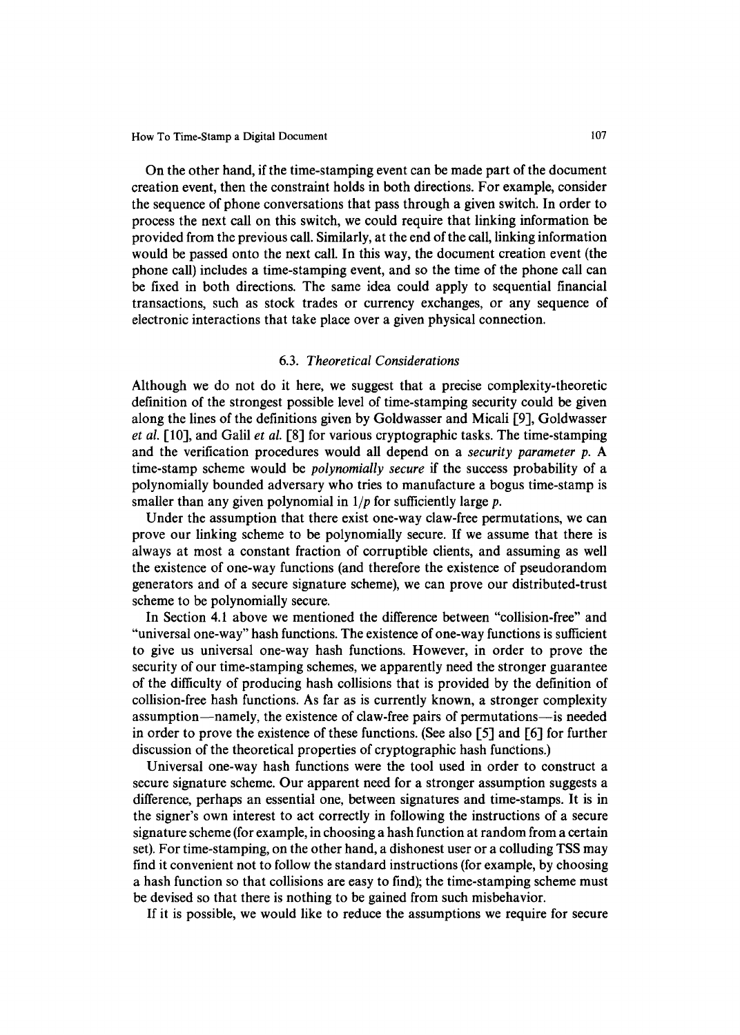# How To Time-Stamp a Digital Document 107

On the other hand, if the time-stamping event can be made part of the document creation event, then the constraint holds in both directions. For example, consider the sequence of phone conversations that pass through a given switch. In order to process the next call on this switch, we could require that linking information be provided from the previous call. Similarly, at the end of the call, linking information would be passed onto the next call. In this way, the document creation event (the phone call) includes a time-stamping event, and so the time of the phone call can be fixed in both directions. The same idea could apply to sequential financial transactions, such as stock trades or currency exchanges, or any sequence of electronic interactions that take place over a given physical connection.

#### 6.3. *Theoretical Considerations*

Although we do not do it here, we suggest that a precise complexity-theoretic definition of the strongest possible level of time-stamping security could be given along the lines of the definitions given by Goldwasser and Micali [9], Goldwasser *et al.* [10], and Galil *et al.* [8] for various cryptographic tasks. The time-stamping and the verification procedures would all depend on a *security parameter p. A*  time-stamp scheme would be *polynomially secure* if the success probability of a polynomially bounded adversary who tries to manufacture a bogus time-stamp is smaller than any given polynomial in  $1/p$  for sufficiently large  $p$ .

Under the assumption that there exist one-way claw-free permutations, we can prove our linking scheme to be polynomially secure. If we assume that there is always at most a constant fraction of corruptible clients, and assuming as well the existence of one-way functions (and therefore the existence of pseudorandom generators and of a secure signature scheme), we can prove our distributed-trust scheme to be polynomially secure.

In Section 4.1 above we mentioned the difference between "collision-free" and "universal one-way" hash functions. The existence of one-way functions is sufficient to give us universal one-way hash functions. However, in order to prove the security of our time-stamping schemes, we apparently need the stronger guarantee of the difficulty of producing hash collisions that is provided by the definition of collision-free hash functions. As far as is currently known, a stronger complexity assumption—namely, the existence of claw-free pairs of permutations—is needed in order to prove the existence of these functions. (See also [5] and [6] for further discussion of the theoretical properties of cryptographic hash functions.)

Universal one-way hash functions were the tool used in order to construct a secure signature scheme. Our apparent need for a stronger assumption suggests a difference, perhaps an essential one, between signatures and time-stamps. It is in the signer's own interest to act correctly in following the instructions of a secure signature scheme (for example, in choosing a hash function at random from a certain set). For time-stamping, on the other hand, a dishonest user or a colluding TSS may find it convenient not to follow the standard instructions (for example, by choosing a hash function so that collisions are easy to find); the time-stamping scheme must be devised so that there is nothing to be gained from such misbehavior.

If it is possible, we would like to reduce the assumptions we require for secure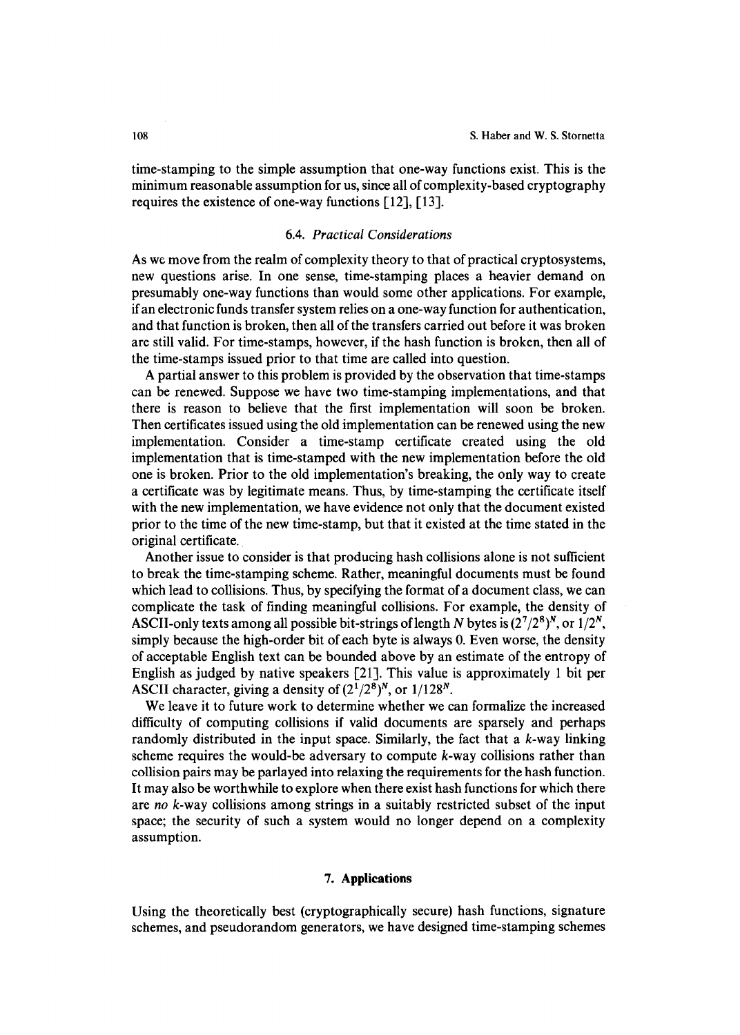time-stamping to the simple assumption that one-way functions exist. This is the minimum reasonable assumption for us, since all of complexity-based cryptography requires the existence of one-way functions  $[12]$ ,  $[13]$ .

### 6.4. *Practical Considerations*

As we move from the realm of complexity theory to that of practical cryptosystems, new questions arise. In one sense, time-stamping places a heavier demand on presumably one-way functions than would some other applications. For example, if an electronic funds transfer system relies on a one-way function for authentication, and that function is broken, then all of the transfers carried out before it was broken are still valid. For time-stamps, however, if the hash function is broken, then all of the time-stamps issued prior to that time are called into question.

A partial answer to this problem is provided by the observation that time-stamps can be renewed. Suppose we have two time-stamping implementations, and that there is reason to believe that the first implementation will soon be broken. Then certificates issued using the old implementation can be renewed using the new implementation. Consider a time-stamp certificate created using the old implementation that is time-stamped with the new implementation before the old one is broken. Prior to the old implementation's breaking, the only way to create a certificate was by legitimate means. Thus, by time-stamping the certificate itself with the new implementation, we have evidence not only that the document existed prior to the time of the new time-stamp, but that it existed at the time stated in the original certificate.

Another issue to consider is that producing hash collisions alone is not sufficient to break the time-stamping scheme. Rather, meaningful documents must be found which lead to collisions. Thus, by specifying the format of a document class, we can complicate the task of finding meaningful collisions. For example, the density of ASCII-only texts among all possible bit-strings of length N bytes is  $(2^7/2^8)^N$ , or  $1/2^N$ , simply because the high-order bit of each byte is always 0. Even worse, the density of acceptable English text can be bounded above by an estimate of the entropy of English as judged by native speakers [21]. This value is approximately 1 bit per ASCII character, giving a density of  $(2^1/2^8)^N$ , or  $1/128^N$ .

We leave it to future work to determine whether we can formalize the increased difficulty of computing collisions if valid documents are sparsely and perhaps randomly distributed in the input space. Similarly, the fact that a k-way linking scheme requires the would-be adversary to compute k-way collisions rather than collision pairs may be parlayed into relaxing the requirements for the hash function. It may also be worthwhile to explore when there exist hash functions for which there are *no* k-way collisions among strings in a suitably restricted subset of the input space; the security of such a system would no longer depend on a complexity assumption.

# **7. Applications**

Using the theoretically best (cryptographically secure) hash functions, signature schemes, and pseudorandom generators, we have designed time-stamping schemes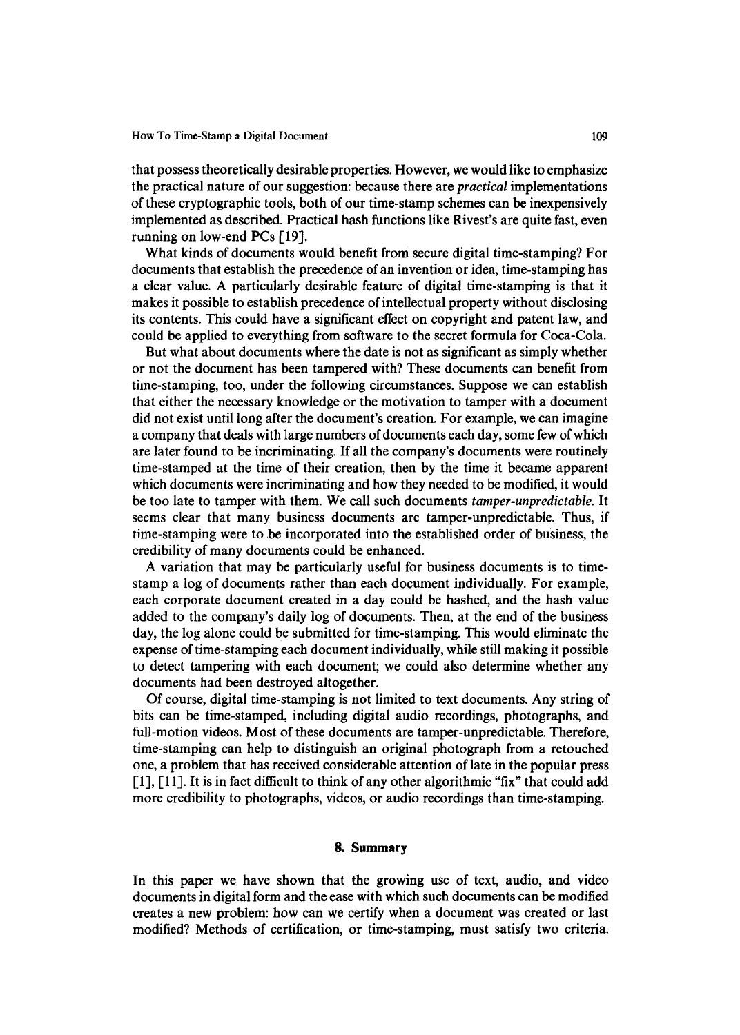that possess theoretically desirable properties. However, we would like to emphasize the practical nature of our suggestion: because there are *practical* implementations of these cryptographic tools, both of our time-stamp schemes can be inexpensively implemented as described. Practical hash functions like Rivest's are quite fast, even running on low-end PCs [19].

What kinds of documents would benefit from secure digital time-stamping? For documents that establish the precedence of an invention or idea, time-stamping has a clear value. A particularly desirable feature of digital time-stamping is that it makes it possible to establish precedence of intellectual property without disclosing its contents. This could have a significant effect on copyright and patent law, and could be applied to everything from software to the secret formula for Coca-Cola.

But what about documents where the date is not as significant as simply whether or not the document has been tampered with? These documents can benefit from time-stamping, too, under the following circumstances. Suppose we can establish that either the necessary knowledge or the motivation to tamper with a document did not exist until long after the document's creation. For example, we can imagine a company that deals with large numbers of documents each day, some few of which are later found to be incriminating. If all the company's documents were routinely time-stamped at the time of their creation, then by the time it became apparent which documents were incriminating and how they needed to be modified, it would be too late to tamper with them. We call such documents *tamper-unpredictable.* It seems clear that many business documents are tamper-unpredictable. Thus, if time-stamping were to be incorporated into the established order of business, the credibility of many documents could be enhanced.

A variation that may be particularly useful for business documents is to timestamp a log of documents rather than each document individually. For example, each corporate document created in a day could be hashed, and the hash value added to the company's daily log of documents. Then, at the end of the business day, the log alone could be submitted for time-stamping. This would eliminate the expense of time-stamping each document individually, while still making it possible to detect tampering with each document; we could also determine whether any documents had been destroyed altogether.

Of course, digital time-stamping is not limited to text documents. Any string of bits can be time-stamped, including digital audio recordings, photographs, and full-motion videos. Most of these documents are tamper-unpredictable. Therefore, time-stamping can help to distinguish an original photograph from a retouched one, a problem that has received considerable attention of late in the popular press [1], [11]. It is in fact difficult to think of any other algorithmic "fix" that could add more credibility to photographs, videos, or audio recordings than time-stamping.

#### **8. Summary**

In this paper we have shown that the growing use of text, audio, and video documents in digital form and the ease with which such documents can be modified creates a new problem: how can we certify when a document was created or last modified? Methods of certification, or time-stamping, must satisfy two criteria.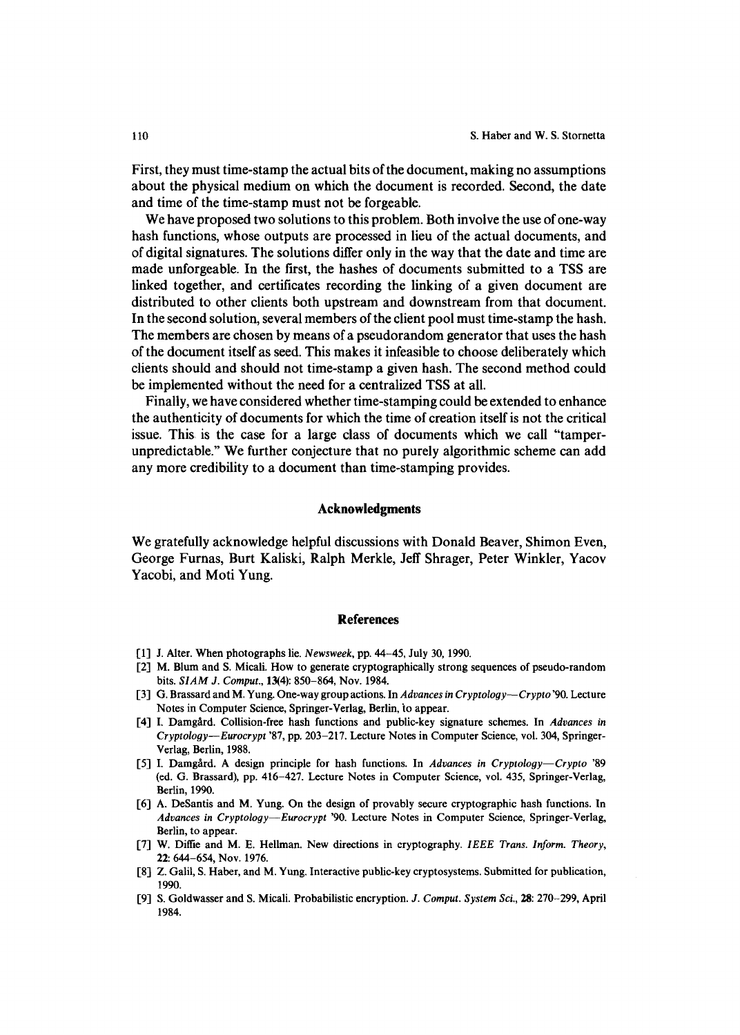First, they must time-stamp the actual bits of the document, making no assumptions about the physical medium on which the document is recorded. Second, the date and time of the time-stamp must not be forgeable.

We have proposed two solutions to this problem. Both involve the use of one-way hash functions, whose outputs are processed in lieu of the actual documents, and of digital signatures. The solutions differ only in the way that the date and time are made unforgeable. In the first, the hashes of documents submitted to a TSS are linked together, and certificates recording the linking of a given document are distributed to other clients both upstream and downstream from that document. In the second solution, several members of the client pool must time-stamp the hash. The members are chosen by means of a pseudorandom generator that uses the hash of the document itself as seed. This makes it infeasible to choose deliberately which clients should and should not time-stamp a given hash. The second method could be implemented without the need for a centralized TSS at all.

Finally, we have considered whether time-stamping could be extended to enhance the authenticity of documents for which the time of creation itself is not the critical issue. This is the case for a large class of documents which we call "tamperunpredictable." We further conjecture that no purely algorithmic scheme can add any more credibility to a document than time-stamping provides.

# **Acknowledgments**

We gratefully acknowledge helpful discussions with Donald Beaver, Shimon Even, George Furnas, Burt Kaliski, Ralph Merkle, Jeff Shrager, Peter Winkler, Yacov Yacobi, and Moti Yung.

#### **References**

- [1] J. Alter. When photographs lie. *Newsweek,* pp. 44-45, July 30, 1990.
- [21 M. Blum and S. Micali. How to generate cryptographically strong sequences of pseudo-random bits. *SIAM d. Comput.,* 13(4): 850-864, Nov. 1984.
- [3] G. Brassard and M. Yung. One-way group actions. In Advances in Cryptology—Crypto '90. Lecture Notes in Computer Science, Springer-Verlag, Berlin, to appear.
- [4] I. Damghrd. Collision-free hash functions and public-key signature schemes. In *Advances in Cryptology--Eurocrypt* '87, pp. 203-217. Lecture Notes in Computer Science, vol. 304, Springer-Verlag, Berlin, 1988.
- [5] I. Damghrd. A design principle for hash functions. In *Advances in Cryptology--Crypto* '89 (ed. G. Brassard), pp. 416-427. Lecture Notes in Computer Science, vol. 435, Springer-Verlag, Berlin, 1990.
- [6] A. DeSantis and M. Yung. On the design of provably secure cryptographic hash functions. In *Advances in Cryptology--Eurocrypt* '90. Lecture Notes in Computer Science, Springer-Verlag, Berlin, to appear.
- 1-7] W. Ditlie and M. E. Hellman. New directions in cryptography. *IEEE Trans. Inform. Theory,*  22: 644-654, Nov. 1976.
- [8] Z. Galil, S. Haber, and M. Yung. Interactive public-key cryptosystems. Submitted for publication, 1990.
- [9] S. Goldwasser and S. Micali. Probabilistic encryption. *J. Comput. System Sci.,* 28: 270-299, April 1984.